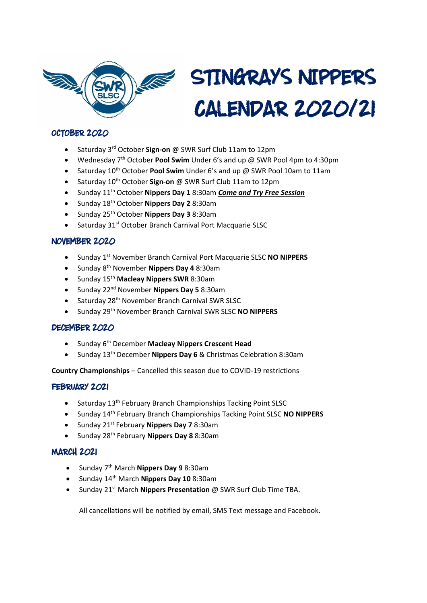

# STINGRAYS NIPPERS **CALENDAR 2020121**

## OCTOBER 2020

- Saturday 3rd October **Sign-on** @ SWR Surf Club 11am to 12pm
- Wednesday 7<sup>th</sup> October **Pool Swim** Under 6's and up @ SWR Pool 4pm to 4:30pm
- Saturday 10th October **Pool Swim** Under 6's and up @ SWR Pool 10am to 11am
- Saturday 10<sup>th</sup> October Sign-on @ SWR Surf Club 11am to 12pm
- Sunday 11th October **Nippers Day 1** 8:30am *Come and Try Free Session*
- Sunday 18th October **Nippers Day 2** 8:30am
- Sunday 25th October **Nippers Day 3** 8:30am
- Saturday 31<sup>st</sup> October Branch Carnival Port Macquarie SLSC

### NOVEMBER 2020

- Sunday 1st November Branch Carnival Port Macquarie SLSC **NO NIPPERS**
- Sunday 8th November **Nippers Day 4** 8:30am
- Sunday 15th **Macleay Nippers SWR** 8:30am
- Sunday 22nd November **Nippers Day 5** 8:30am
- Saturday 28<sup>th</sup> November Branch Carnival SWR SLSC
- Sunday 29th November Branch Carnival SWR SLSC **NO NIPPERS**

#### DECEMBER 2020

- Sunday 6th December **Macleay Nippers Crescent Head**
- Sunday 13th December **Nippers Day 6** & Christmas Celebration 8:30am

**Country Championships** – Cancelled this season due to COVID-19 restrictions

### FEBRUARY 2021

- Saturday 13<sup>th</sup> February Branch Championships Tacking Point SLSC
- Sunday 14th February Branch Championships Tacking Point SLSC **NO NIPPERS**
- Sunday 21st February **Nippers Day 7** 8:30am
- Sunday 28th February **Nippers Day 8** 8:30am

### **MARCH 2021**

- Sunday 7th March **Nippers Day 9** 8:30am
- Sunday 14th March **Nippers Day 10** 8:30am
- Sunday 21st March **Nippers Presentation** @ SWR Surf Club Time TBA.

All cancellations will be notified by email, SMS Text message and Facebook.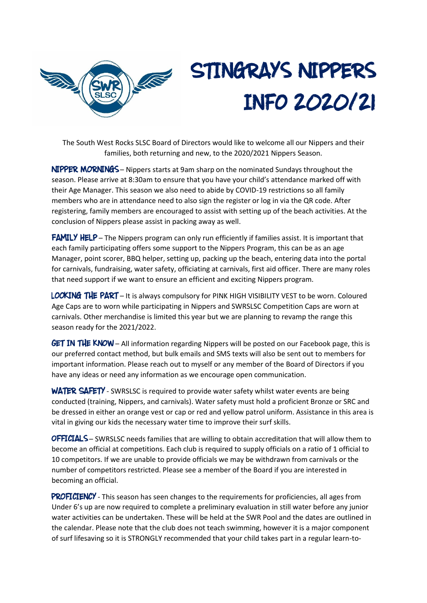

# STINGRAYS NIPPERS **INFO 2020/21**

The South West Rocks SLSC Board of Directors would like to welcome all our Nippers and their families, both returning and new, to the 2020/2021 Nippers Season.

NIPPER MORNINGS - Nippers starts at 9am sharp on the nominated Sundays throughout the season. Please arrive at 8:30am to ensure that you have your child's attendance marked off with their Age Manager. This season we also need to abide by COVID-19 restrictions so all family members who are in attendance need to also sign the register or log in via the QR code. After registering, family members are encouraged to assist with setting up of the beach activities. At the conclusion of Nippers please assist in packing away as well.

**FAMILY HELP** – The Nippers program can only run efficiently if families assist. It is important that each family participating offers some support to the Nippers Program, this can be as an age Manager, point scorer, BBQ helper, setting up, packing up the beach, entering data into the portal for carnivals, fundraising, water safety, officiating at carnivals, first aid officer. There are many roles that need support if we want to ensure an efficient and exciting Nippers program.

LOOKING THE PART - It is always compulsory for PINK HIGH VISIBILITY VEST to be worn. Coloured Age Caps are to worn while participating in Nippers and SWRSLSC Competition Caps are worn at carnivals. Other merchandise is limited this year but we are planning to revamp the range this season ready for the 2021/2022.

**GET IN THE KNOW** – All information regarding Nippers will be posted on our Facebook page, this is our preferred contact method, but bulk emails and SMS texts will also be sent out to members for important information. Please reach out to myself or any member of the Board of Directors if you have any ideas or need any information as we encourage open communication.

**WATER SAFETY** - SWRSLSC is required to provide water safety whilst water events are being conducted (training, Nippers, and carnivals). Water safety must hold a proficient Bronze or SRC and be dressed in either an orange vest or cap or red and yellow patrol uniform. Assistance in this area is vital in giving our kids the necessary water time to improve their surf skills.

**OFFICIALS** – SWRSLSC needs families that are willing to obtain accreditation that will allow them to become an official at competitions. Each club is required to supply officials on a ratio of 1 official to 10 competitors. If we are unable to provide officials we may be withdrawn from carnivals or the number of competitors restricted. Please see a member of the Board if you are interested in becoming an official.

PROFICIENCY - This season has seen changes to the requirements for proficiencies, all ages from Under 6's up are now required to complete a preliminary evaluation in still water before any junior water activities can be undertaken. These will be held at the SWR Pool and the dates are outlined in the calendar. Please note that the club does not teach swimming, however it is a major component of surf lifesaving so it is STRONGLY recommended that your child takes part in a regular learn-to